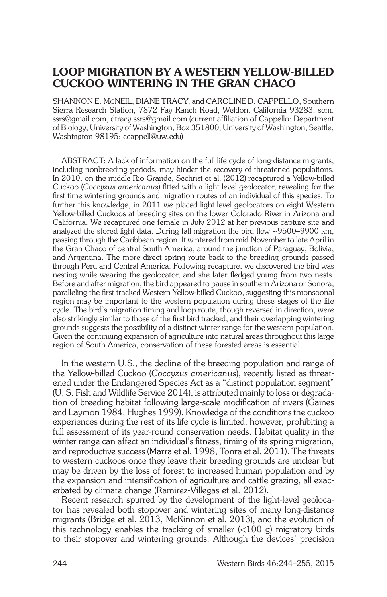# Loop Migration by a Western Yellow-billed Cuckoo wintering in the gran chaco

Shannon E. McNeil, Diane Tracy, and Caroline D. Cappello, Southern Sierra Research Station, 7872 Fay Ranch Road, Weldon, California 93283; sem. ssrs@gmail.com, dtracy.ssrs@gmail.com (current affiliation of Cappello: Department of Biology, University of Washington, Box 351800, University of Washington, Seattle, Washington 98195; ccappell@uw.edu)

ABSTRACT: A lack of information on the full life cycle of long-distance migrants, including nonbreeding periods, may hinder the recovery of threatened populations. In 2010, on the middle Rio Grande, Sechrist et al. (2012) recaptured a Yellow-billed Cuckoo (*Coccyzus americanus*) fitted with a light-level geolocator, revealing for the first time wintering grounds and migration routes of an individual of this species. To further this knowledge, in 2011 we placed light-level geolocators on eight Western Yellow-billed Cuckoos at breeding sites on the lower Colorado River in Arizona and California. We recaptured one female in July 2012 at her previous capture site and analyzed the stored light data. During fall migration the bird flew ~9500–9900 km, passing through the Caribbean region. It wintered from mid-November to late April in the Gran Chaco of central South America, around the junction of Paraguay, Bolivia, and Argentina. The more direct spring route back to the breeding grounds passed through Peru and Central America. Following recapture, we discovered the bird was nesting while wearing the geolocator, and she later fledged young from two nests. Before and after migration, the bird appeared to pause in southern Arizona or Sonora, paralleling the first tracked Western Yellow-billed Cuckoo, suggesting this monsoonal region may be important to the western population during these stages of the life cycle. The bird's migration timing and loop route, though reversed in direction, were also strikingly similar to those of the first bird tracked, and their overlapping wintering grounds suggests the possibility of a distinct winter range for the western population. Given the continuing expansion of agriculture into natural areas throughout this large region of South America, conservation of these forested areas is essential.

In the western U.S., the decline of the breeding population and range of the Yellow-billed Cuckoo (*Coccyzus americanus*), recently listed as threatened under the Endangered Species Act as a "distinct population segment" (U. S. Fish and Wildlife Service 2014), is attributed mainly to loss or degradation of breeding habitat following large-scale modification of rivers (Gaines and Laymon 1984, Hughes 1999). Knowledge of the conditions the cuckoo experiences during the rest of its life cycle is limited, however, prohibiting a full assessment of its year-round conservation needs. Habitat quality in the winter range can affect an individual's fitness, timing of its spring migration, and reproductive success (Marra et al. 1998, Tonra et al. 2011). The threats to western cuckoos once they leave their breeding grounds are unclear but may be driven by the loss of forest to increased human population and by the expansion and intensification of agriculture and cattle grazing, all exacerbated by climate change (Ramirez-Villegas et al. 2012).

Recent research spurred by the development of the light-level geolocator has revealed both stopover and wintering sites of many long-distance migrants (Bridge et al. 2013, McKinnon et al. 2013), and the evolution of this technology enables the tracking of smaller  $\left($ <100 g) migratory birds to their stopover and wintering grounds. Although the devices' precision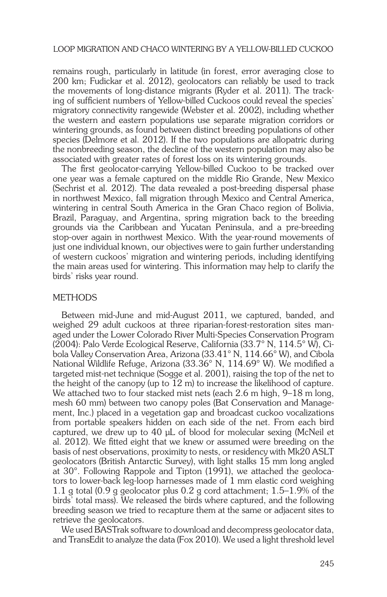remains rough, particularly in latitude (in forest, error averaging close to 200 km; Fudickar et al. 2012), geolocators can reliably be used to track the movements of long-distance migrants (Ryder et al. 2011). The tracking of sufficient numbers of Yellow-billed Cuckoos could reveal the species' migratory connectivity rangewide (Webster et al. 2002), including whether the western and eastern populations use separate migration corridors or wintering grounds, as found between distinct breeding populations of other species (Delmore et al. 2012). If the two populations are allopatric during the nonbreeding season, the decline of the western population may also be associated with greater rates of forest loss on its wintering grounds.

The first geolocator-carrying Yellow-billed Cuckoo to be tracked over one year was a female captured on the middle Rio Grande, New Mexico (Sechrist et al. 2012). The data revealed a post-breeding dispersal phase in northwest Mexico, fall migration through Mexico and Central America, wintering in central South America in the Gran Chaco region of Bolivia, Brazil, Paraguay, and Argentina, spring migration back to the breeding grounds via the Caribbean and Yucatan Peninsula, and a pre-breeding stop-over again in northwest Mexico. With the year-round movements of just one individual known, our objectives were to gain further understanding of western cuckoos' migration and wintering periods, including identifying the main areas used for wintering. This information may help to clarify the birds' risks year round.

## **METHODS**

Between mid-June and mid-August 2011, we captured, banded, and weighed 29 adult cuckoos at three riparian-forest-restoration sites managed under the Lower Colorado River Multi-Species Conservation Program (2004): Palo Verde Ecological Reserve, California (33.7° N, 114.5° W), Cibola Valley Conservation Area, Arizona (33.41° N, 114.66° W), and Cibola National Wildlife Refuge, Arizona (33.36° N, 114.69° W). We modified a targeted mist-net technique (Sogge et al. 2001), raising the top of the net to the height of the canopy (up to 12 m) to increase the likelihood of capture. We attached two to four stacked mist nets (each 2.6 m high, 9–18 m long, mesh 60 mm) between two canopy poles (Bat Conservation and Management, Inc.) placed in a vegetation gap and broadcast cuckoo vocalizations from portable speakers hidden on each side of the net. From each bird captured, we drew up to 40 µL of blood for molecular sexing (McNeil et al. 2012). We fitted eight that we knew or assumed were breeding on the basis of nest observations, proximity to nests, or residency with Mk20 ASLT geolocators (British Antarctic Survey), with light stalks 15 mm long angled at 30°. Following Rappole and Tipton (1991), we attached the geolocators to lower-back leg-loop harnesses made of 1 mm elastic cord weighing 1.1 g total (0.9 g geolocator plus 0.2 g cord attachment; 1.5–1.9% of the birds' total mass). We released the birds where captured, and the following breeding season we tried to recapture them at the same or adjacent sites to retrieve the geolocators.

We used BASTrak software to download and decompress geolocator data, and TransEdit to analyze the data (Fox 2010). We used a light threshold level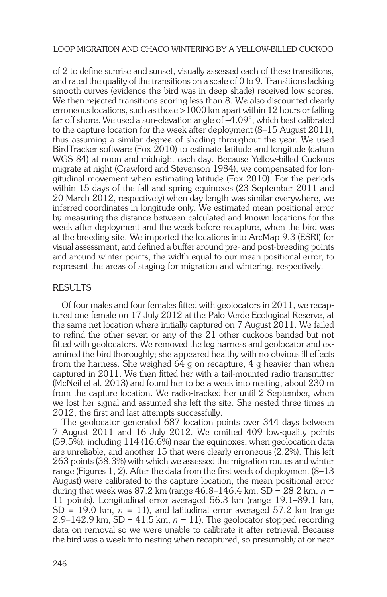of 2 to define sunrise and sunset, visually assessed each of these transitions, and rated the quality of the transitions on a scale of 0 to 9. Transitions lacking smooth curves (evidence the bird was in deep shade) received low scores. We then rejected transitions scoring less than 8. We also discounted clearly erroneous locations, such as those >1000 km apart within 12 hours or falling far off shore. We used a sun-elevation angle of –4.09°, which best calibrated to the capture location for the week after deployment (8–15 August 2011), thus assuming a similar degree of shading throughout the year. We used BirdTracker software (Fox 2010) to estimate latitude and longitude (datum WGS 84) at noon and midnight each day. Because Yellow-billed Cuckoos migrate at night (Crawford and Stevenson 1984), we compensated for longitudinal movement when estimating latitude (Fox 2010). For the periods within 15 days of the fall and spring equinoxes (23 September 2011 and 20 March 2012, respectively) when day length was similar everywhere, we inferred coordinates in longitude only. We estimated mean positional error by measuring the distance between calculated and known locations for the week after deployment and the week before recapture, when the bird was at the breeding site. We imported the locations into ArcMap 9.3 (ESRI) for visual assessment, and defined a buffer around pre- and post-breeding points and around winter points, the width equal to our mean positional error, to represent the areas of staging for migration and wintering, respectively.

## **RESULTS**

Of four males and four females fitted with geolocators in 2011, we recaptured one female on 17 July 2012 at the Palo Verde Ecological Reserve, at the same net location where initially captured on 7 August 2011. We failed to refind the other seven or any of the 21 other cuckoos banded but not fitted with geolocators. We removed the leg harness and geolocator and examined the bird thoroughly; she appeared healthy with no obvious ill effects from the harness. She weighed 64 g on recapture, 4 g heavier than when captured in 2011. We then fitted her with a tail-mounted radio transmitter (McNeil et al. 2013) and found her to be a week into nesting, about 230 m from the capture location. We radio-tracked her until 2 September, when we lost her signal and assumed she left the site. She nested three times in 2012, the first and last attempts successfully.

The geolocator generated 687 location points over 344 days between 7 August 2011 and 16 July 2012. We omitted 409 low-quality points (59.5%), including 114 (16.6%) near the equinoxes, when geolocation data are unreliable, and another 15 that were clearly erroneous (2.2%). This left 263 points (38.3%) with which we assessed the migration routes and winter range (Figures 1, 2). After the data from the first week of deployment (8–13 August) were calibrated to the capture location, the mean positional error during that week was 87.2 km (range 46.8–146.4 km, SD = 28.2 km, *n* = 11 points). Longitudinal error averaged 56.3 km (range 19.1–89.1 km,  $SD = 19.0$  km,  $n = 11$ ), and latitudinal error averaged 57.2 km (range 2.9–142.9 km,  $SD = 41.5$  km,  $n = 11$ ). The geolocator stopped recording data on removal so we were unable to calibrate it after retrieval. Because the bird was a week into nesting when recaptured, so presumably at or near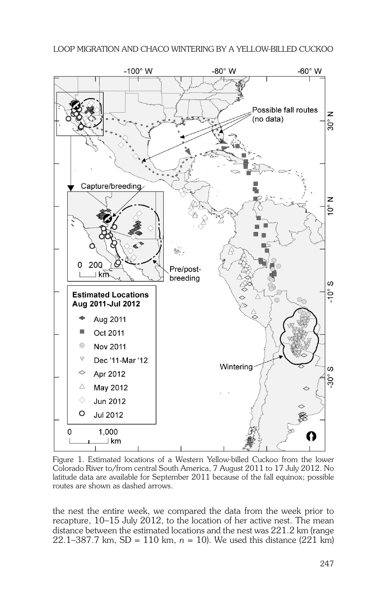

Figure 1. Estimated locations of a Western Yellow-billed Cuckoo from the lower Colorado River to/from central South America, 7 August 2011 to 17 July 2012. No latitude data are available for September 2011 because of the fall equinox; possible routes are shown as dashed arrows.

the nest the entire week, we compared the data from the week prior to recapture, 10–15 July 2012, to the location of her active nest. The mean distance between the estimated locations and the nest was 221.2 km (range 22.1–387.7 km, SD = 110 km, *n* = 10). We used this distance (221 km)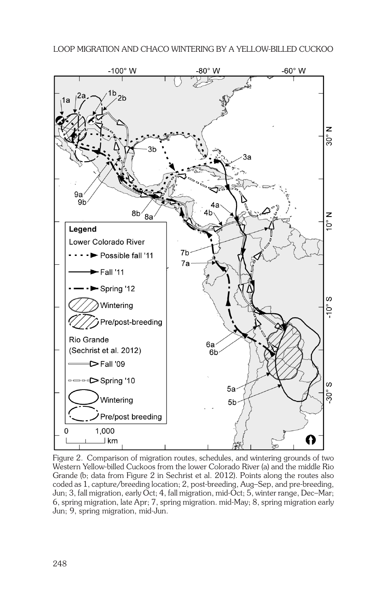

Figure 2. Comparison of migration routes, schedules, and wintering grounds of two Western Yellow-billed Cuckoos from the lower Colorado River (a) and the middle Rio Grande (b; data from Figure 2 in Sechrist et al. 2012). Points along the routes also coded as 1, capture/breeding location; 2, post-breeding, Aug–Sep, and pre-breeding, Jun; 3, fall migration, early Oct; 4, fall migration, mid-Oct; 5, winter range, Dec–Mar; 6, spring migration, late Apr; 7, spring migration. mid-May; 8, spring migration early Jun; 9, spring migration, mid-Jun.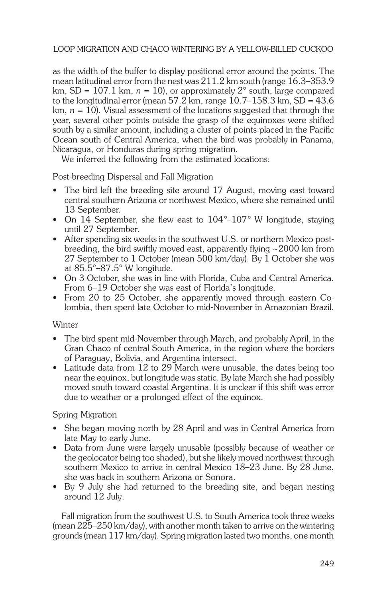as the width of the buffer to display positional error around the points. The mean latitudinal error from the nest was 211.2 km south (range 16.3–353.9 km,  $SD = 107.1$  km,  $n = 10$ ), or approximately  $2^{\circ}$  south, large compared to the longitudinal error (mean  $57.2$  km, range  $10.7$ – $158.3$  km, SD =  $43.6$  $km, n = 10$ ). Visual assessment of the locations suggested that through the year, several other points outside the grasp of the equinoxes were shifted south by a similar amount, including a cluster of points placed in the Pacific Ocean south of Central America, when the bird was probably in Panama, Nicaragua, or Honduras during spring migration.

We inferred the following from the estimated locations:

Post-breeding Dispersal and Fall Migration

- The bird left the breeding site around 17 August, moving east toward central southern Arizona or northwest Mexico, where she remained until 13 September.
- On 14 September, she flew east to 104<sup>°</sup>–107<sup>°</sup> W longitude, staying until 27 September.
- After spending six weeks in the southwest U.S. or northern Mexico postbreeding, the bird swiftly moved east, apparently flying ~2000 km from 27 September to 1 October (mean 500 km/day). By 1 October she was at 85.5°–87.5° W longitude.
- On 3 October, she was in line with Florida, Cuba and Central America. From 6–19 October she was east of Florida's longitude.
- From 20 to 25 October, she apparently moved through eastern Colombia, then spent late October to mid-November in Amazonian Brazil.

# **Winter**

- The bird spent mid-November through March, and probably April, in the Gran Chaco of central South America, in the region where the borders of Paraguay, Bolivia, and Argentina intersect.
- Latitude data from 12 to 29 March were unusable, the dates being too near the equinox, but longitude was static. By late March she had possibly moved south toward coastal Argentina. It is unclear if this shift was error due to weather or a prolonged effect of the equinox.

# Spring Migration

- She began moving north by 28 April and was in Central America from late May to early June.
- Data from June were largely unusable (possibly because of weather or the geolocator being too shaded), but she likely moved northwest through southern Mexico to arrive in central Mexico 18–23 June. By 28 June, she was back in southern Arizona or Sonora.
- • By 9 July she had returned to the breeding site, and began nesting around 12 July.

Fall migration from the southwest U.S. to South America took three weeks (mean 225–250 km/day), with another month taken to arrive on the wintering grounds (mean 117 km/day). Spring migration lasted two months, one month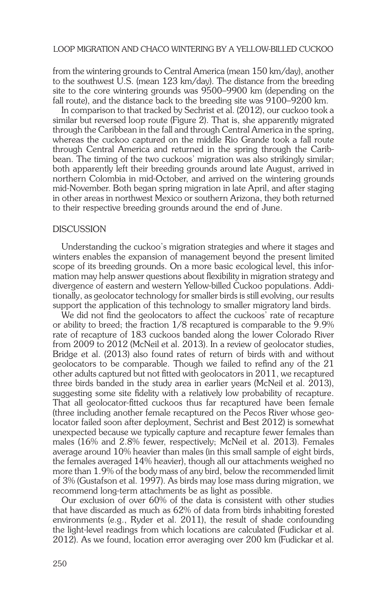from the wintering grounds to Central America (mean 150 km/day), another to the southwest U.S. (mean 123 km/day). The distance from the breeding site to the core wintering grounds was 9500–9900 km (depending on the fall route), and the distance back to the breeding site was 9100–9200 km.

In comparison to that tracked by Sechrist et al. (2012), our cuckoo took a similar but reversed loop route (Figure 2). That is, she apparently migrated through the Caribbean in the fall and through Central America in the spring, whereas the cuckoo captured on the middle Rio Grande took a fall route through Central America and returned in the spring through the Caribbean. The timing of the two cuckoos' migration was also strikingly similar; both apparently left their breeding grounds around late August, arrived in northern Colombia in mid-October, and arrived on the wintering grounds mid-November. Both began spring migration in late April, and after staging in other areas in northwest Mexico or southern Arizona, they both returned to their respective breeding grounds around the end of June.

## **DISCUSSION**

Understanding the cuckoo's migration strategies and where it stages and winters enables the expansion of management beyond the present limited scope of its breeding grounds. On a more basic ecological level, this information may help answer questions about flexibility in migration strategy and divergence of eastern and western Yellow-billed Cuckoo populations. Additionally, as geolocator technology for smaller birds is still evolving, our results support the application of this technology to smaller migratory land birds.

We did not find the geolocators to affect the cuckoos' rate of recapture or ability to breed; the fraction 1/8 recaptured is comparable to the 9.9% rate of recapture of 183 cuckoos banded along the lower Colorado River from 2009 to 2012 (McNeil et al. 2013). In a review of geolocator studies, Bridge et al. (2013) also found rates of return of birds with and without geolocators to be comparable. Though we failed to refind any of the 21 other adults captured but not fitted with geolocators in 2011, we recaptured three birds banded in the study area in earlier years (McNeil et al. 2013), suggesting some site fidelity with a relatively low probability of recapture. That all geolocator-fitted cuckoos thus far recaptured have been female (three including another female recaptured on the Pecos River whose geolocator failed soon after deployment, Sechrist and Best 2012) is somewhat unexpected because we typically capture and recapture fewer females than males (16% and 2.8% fewer, respectively; McNeil et al. 2013). Females average around 10% heavier than males (in this small sample of eight birds, the females averaged 14% heavier), though all our attachments weighed no more than 1.9% of the body mass of any bird, below the recommended limit of 3% (Gustafson et al. 1997). As birds may lose mass during migration, we recommend long-term attachments be as light as possible.

Our exclusion of over 60% of the data is consistent with other studies that have discarded as much as 62% of data from birds inhabiting forested environments (e.g., Ryder et al. 2011), the result of shade confounding the light-level readings from which locations are calculated (Fudickar et al. 2012). As we found, location error averaging over 200 km (Fudickar et al.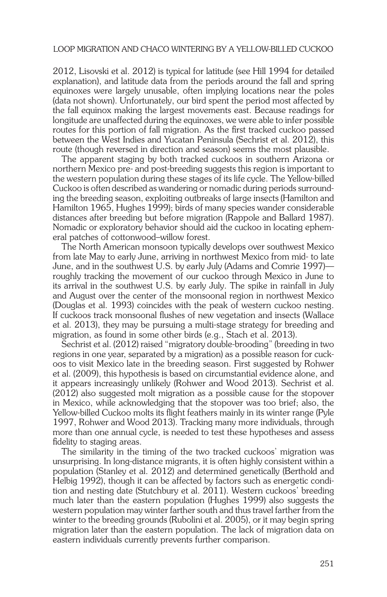2012, Lisovski et al. 2012) is typical for latitude (see Hill 1994 for detailed explanation), and latitude data from the periods around the fall and spring equinoxes were largely unusable, often implying locations near the poles (data not shown). Unfortunately, our bird spent the period most affected by the fall equinox making the largest movements east. Because readings for longitude are unaffected during the equinoxes, we were able to infer possible routes for this portion of fall migration. As the first tracked cuckoo passed between the West Indies and Yucatan Peninsula (Sechrist et al. 2012), this route (though reversed in direction and season) seems the most plausible.

The apparent staging by both tracked cuckoos in southern Arizona or northern Mexico pre- and post-breeding suggests this region is important to the western population during these stages of its life cycle. The Yellow-billed Cuckoo is often described as wandering or nomadic during periods surrounding the breeding season, exploiting outbreaks of large insects (Hamilton and Hamilton 1965, Hughes 1999); birds of many species wander considerable distances after breeding but before migration (Rappole and Ballard 1987). Nomadic or exploratory behavior should aid the cuckoo in locating ephemeral patches of cottonwood–willow forest.

The North American monsoon typically develops over southwest Mexico from late May to early June, arriving in northwest Mexico from mid- to late June, and in the southwest U.S. by early July (Adams and Comrie 1997) roughly tracking the movement of our cuckoo through Mexico in June to its arrival in the southwest U.S. by early July. The spike in rainfall in July and August over the center of the monsoonal region in northwest Mexico (Douglas et al. 1993) coincides with the peak of western cuckoo nesting. If cuckoos track monsoonal flushes of new vegetation and insects (Wallace et al. 2013), they may be pursuing a multi-stage strategy for breeding and migration, as found in some other birds (e.g., Stach et al. 2013).

Sechrist et al. (2012) raised "migratory double-brooding" (breeding in two regions in one year, separated by a migration) as a possible reason for cuckoos to visit Mexico late in the breeding season. First suggested by Rohwer et al. (2009), this hypothesis is based on circumstantial evidence alone, and it appears increasingly unlikely (Rohwer and Wood 2013). Sechrist et al. (2012) also suggested molt migration as a possible cause for the stopover in Mexico, while acknowledging that the stopover was too brief; also, the Yellow-billed Cuckoo molts its flight feathers mainly in its winter range (Pyle 1997, Rohwer and Wood 2013). Tracking many more individuals, through more than one annual cycle, is needed to test these hypotheses and assess fidelity to staging areas.

The similarity in the timing of the two tracked cuckoos' migration was unsurprising. In long-distance migrants, it is often highly consistent within a population (Stanley et al. 2012) and determined genetically (Berthold and Helbig 1992), though it can be affected by factors such as energetic condition and nesting date (Stutchbury et al. 2011). Western cuckoos' breeding much later than the eastern population (Hughes 1999) also suggests the western population may winter farther south and thus travel farther from the winter to the breeding grounds (Rubolini et al. 2005), or it may begin spring migration later than the eastern population. The lack of migration data on eastern individuals currently prevents further comparison.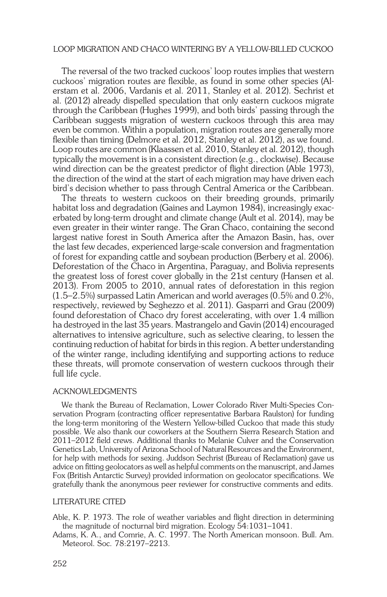The reversal of the two tracked cuckoos' loop routes implies that western cuckoos' migration routes are flexible, as found in some other species (Alerstam et al. 2006, Vardanis et al. 2011, Stanley et al. 2012). Sechrist et al. (2012) already dispelled speculation that only eastern cuckoos migrate through the Caribbean (Hughes 1999), and both birds' passing through the Caribbean suggests migration of western cuckoos through this area may even be common. Within a population, migration routes are generally more flexible than timing (Delmore et al. 2012, Stanley et al. 2012), as we found. Loop routes are common (Klaassen et al. 2010, Stanley et al. 2012), though typically the movement is in a consistent direction (e.g., clockwise). Because wind direction can be the greatest predictor of flight direction (Able 1973), the direction of the wind at the start of each migration may have driven each bird's decision whether to pass through Central America or the Caribbean.

The threats to western cuckoos on their breeding grounds, primarily habitat loss and degradation (Gaines and Laymon 1984), increasingly exacerbated by long-term drought and climate change (Ault et al. 2014), may be even greater in their winter range. The Gran Chaco, containing the second largest native forest in South America after the Amazon Basin, has, over the last few decades, experienced large-scale conversion and fragmentation of forest for expanding cattle and soybean production (Berbery et al. 2006). Deforestation of the Chaco in Argentina, Paraguay, and Bolivia represents the greatest loss of forest cover globally in the 21st century (Hansen et al. 2013). From 2005 to 2010, annual rates of deforestation in this region (1.5–2.5%) surpassed Latin American and world averages (0.5% and 0.2%, respectively, reviewed by Seghezzo et al. 2011). Gasparri and Grau (2009) found deforestation of Chaco dry forest accelerating, with over 1.4 million ha destroyed in the last 35 years. Mastrangelo and Gavin (2014) encouraged alternatives to intensive agriculture, such as selective clearing, to lessen the continuing reduction of habitat for birds in this region. A better understanding of the winter range, including identifying and supporting actions to reduce these threats, will promote conservation of western cuckoos through their full life cycle.

#### ACKNOWLEDGMENTS

We thank the Bureau of Reclamation, Lower Colorado River Multi-Species Conservation Program (contracting officer representative Barbara Raulston) for funding the long-term monitoring of the Western Yellow-billed Cuckoo that made this study possible. We also thank our coworkers at the Southern Sierra Research Station and 2011–2012 field crews. Additional thanks to Melanie Culver and the Conservation Genetics Lab, University of Arizona School of Natural Resources and the Environment, for help with methods for sexing. Juddson Sechrist (Bureau of Reclamation) gave us advice on fitting geolocators as well as helpful comments on the manuscript, and James Fox (British Antarctic Survey) provided information on geolocator specifications. We gratefully thank the anonymous peer reviewer for constructive comments and edits.

#### Literature Cited

Able, K. P. 1973. The role of weather variables and flight direction in determining the magnitude of nocturnal bird migration. Ecology 54:1031–1041.

Adams, K. A., and Comrie, A. C. 1997. The North American monsoon. Bull. Am. Meteorol. Soc*.* 78:2197–2213.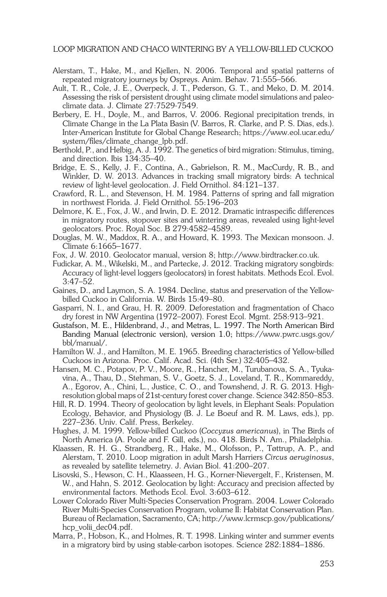- Alerstam, T., Hake, M., and Kjellen, N. 2006. Temporal and spatial patterns of repeated migratory journeys by Ospreys. Anim. Behav. 71:555–566.
- Ault, T. R., Cole, J. E., Overpeck, J. T., Pederson, G. T., and Meko, D. M. 2014. Assessing the risk of persistent drought using climate model simulations and paleoclimate data. J. Climate 27:7529-7549.
- Berbery, E. H., Doyle, M., and Barros, V. 2006. Regional precipitation trends, in Climate Change in the La Plata Basin (V. Barros, R. Clarke, and P. S. Dias, eds.). Inter-American Institute for Global Change Research; https://www.eol.ucar.edu/ system/files/climate\_change\_lpb.pdf.
- Berthold, P., and Helbig, A. J. 1992. The genetics of bird migration: Stimulus, timing, and direction. Ibis 134:35–40.
- Bridge, E. S., Kelly, J. F., Contina, A., Gabrielson, R. M., MacCurdy, R. B., and Winkler, D. W. 2013. Advances in tracking small migratory birds: A technical review of light-level geolocation. J. Field Ornithol. 84:121–137.
- Crawford, R. L., and Stevenson, H. M. 1984. Patterns of spring and fall migration in northwest Florida. J. Field Ornithol. 55:196–203
- Delmore, K. E., Fox, J. W., and Irwin, D. E. 2012. Dramatic intraspecific differences in migratory routes, stopover sites and wintering areas, revealed using light-level geolocators. Proc. Royal Soc. B 279:4582–4589.
- Douglas, M. W., Maddox, R. A., and Howard, K. 1993. The Mexican monsoon. J. Climate 6:1665–1677.
- Fox, J. W. 2010. Geolocator manual, version 8; http://www.birdtracker.co.uk.
- Fudickar, A. M., Wikelski, M., and Partecke, J. 2012. Tracking migratory songbirds: accuracy of light-level loggers (geolocators) in forest habitats. Methods Ecol. Evol. 3:47–52.
- Gaines, D., and Laymon, S. A. 1984. Decline, status and preservation of the Yellowbilled Cuckoo in California. W. Birds 15:49–80.
- Gasparri, N. I., and Grau, H. R. 2009. Deforestation and fragmentation of Chaco dry forest in NW Argentina (1972–2007). Forest Ecol. Mgmt. 258:913–921.
- Gustafson, M. E., Hildenbrand, J., and Metras, L. 1997. The North American Bird Banding Manual (electronic version), version 1.0; https://www.pwrc.usgs.gov/ bbl/manual/.
- Hamilton W. J., and Hamilton, M. E. 1965. Breeding characteristics of Yellow-billed Cuckoos in Arizona. Proc. Calif. Acad. Sci. (4th Ser.) 32:405–432.
- Hansen, M. C., Potapov, P. V., Moore, R., Hancher, M., Turubanova, S. A., Tyukavina, A., Thau, D., Stehman, S. V., Goetz, S. J., Loveland, T. R., Kommareddy, A., Egorov, A., Chini, L., Justice, C. O., and Townshend, J. R. G. 2013. Highresolution global maps of 21st-century forest cover change. Science 342:850–853.
- Hill, R. D. 1994. Theory of geolocation by light levels, in Elephant Seals: Population Ecology, Behavior, and Physiology (B. J. Le Boeuf and R. M. Laws, eds.), pp. 227–236. Univ. Calif. Press, Berkeley.
- Hughes, J. M. 1999. Yellow-billed Cuckoo (*Coccyzus americanus*), in The Birds of North America (A. Poole and F. Gill, eds.), no. 418. Birds N. Am., Philadelphia.
- Klaassen, R. H. G., Strandberg, R., Hake, M., Olofsson, P., Tøttrup, A. P., and Alerstam, T. 2010. Loop migration in adult Marsh Harriers *Circus aeruginosus*, as revealed by satellite telemetry. J. Avian Biol. 41:200–207.
- Lisovski, S., Hewson, C. H., Klaasseen, H. G., Korner-Nievergelt, F., Kristensen, M. W., and Hahn, S. 2012. Geolocation by light: Accuracy and precision affected by environmental factors. Methods Ecol. Evol. 3:603–612.
- Lower Colorado River Multi-Species Conservation Program. 2004. Lower Colorado River Multi-Species Conservation Program, volume II: Habitat Conservation Plan. Bureau of Reclamation, Sacramento, CA; http://www.lcrmscp.gov/publications/ hcp\_volii\_dec04.pdf.
- Marra, P., Hobson, K., and Holmes, R. T. 1998. Linking winter and summer events in a migratory bird by using stable-carbon isotopes. Science 282:1884–1886.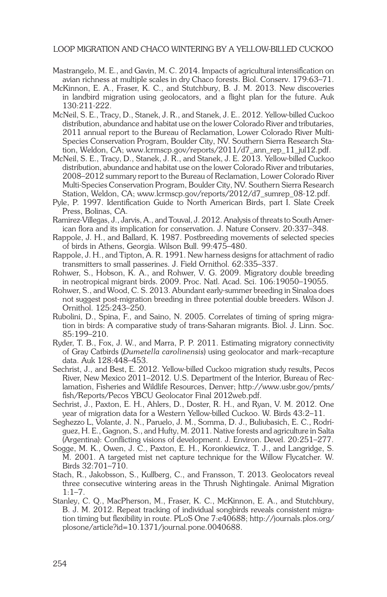- Mastrangelo, M. E., and Gavin, M. C. 2014. Impacts of agricultural intensification on avian richness at multiple scales in dry Chaco forests. Biol. Conserv. 179:63–71.
- McKinnon, E. A., Fraser, K. C., and Stutchbury, B. J. M. 2013. New discoveries in landbird migration using geolocators, and a flight plan for the future. Auk 130:211-222.
- McNeil, S. E., Tracy, D., Stanek, J. R., and Stanek, J. E.. 2012. Yellow-billed Cuckoo distribution, abundance and habitat use on the lower Colorado River and tributaries, 2011 annual report to the Bureau of Reclamation, Lower Colorado River Multi-Species Conservation Program, Boulder City, NV. Southern Sierra Research Station, Weldon, CA; www.lcrmscp.gov/reports/2011/d7\_ann\_rep\_11\_jul12.pdf.
- McNeil, S. E., Tracy, D., Stanek, J. R., and Stanek, J. E. 2013. Yellow-billed Cuckoo distribution, abundance and habitat use on the lower Colorado River and tributaries, 2008–2012 summary report to the Bureau of Reclamation, Lower Colorado River Multi-Species Conservation Program, Boulder City, NV. Southern Sierra Research Station, Weldon, CA; www.lcrmscp.gov/reports/2012/d7\_sumrep\_08-12.pdf.
- Pyle, P. 1997. Identification Guide to North American Birds, part I. Slate Creek Press, Bolinas, CA.
- Ramirez-Villegas, J., Jarvis, A., and Touval, J. 2012. Analysis of threats to South American flora and its implication for conservation. J. Nature Conserv. 20:337–348.
- Rappole, J. H., and Ballard, K. 1987. Postbreeding movements of selected species of birds in Athens, Georgia. Wilson Bull. 99:475–480.
- Rappole, J. H., and Tipton, A. R. 1991. New harness designs for attachment of radio transmitters to small passerines. J. Field Ornithol. 62:335–337.
- Rohwer, S., Hobson, K. A., and Rohwer, V. G. 2009. Migratory double breeding in neotropical migrant birds. 2009. Proc. Natl. Acad. Sci. 106:19050–19055.
- Rohwer, S., and Wood, C. S. 2013. Abundant early-summer breeding in Sinaloa does not suggest post-migration breeding in three potential double breeders. Wilson J. Ornithol. 125:243–250.
- Rubolini, D., Spina, F., and Saino, N. 2005. Correlates of timing of spring migration in birds: A comparative study of trans-Saharan migrants. Biol. J. Linn. Soc. 85:199–210.
- Ryder, T. B., Fox, J. W., and Marra, P. P. 2011. Estimating migratory connectivity of Gray Catbirds (*Dumetella carolinensis*) using geolocator and mark–recapture data. Auk 128:448–453.
- Sechrist, J., and Best, E. 2012. Yellow-billed Cuckoo migration study results, Pecos River, New Mexico 2011–2012. U.S. Department of the Interior, Bureau of Reclamation, Fisheries and Wildlife Resources, Denver; http://www.usbr.gov/pmts/ fish/Reports/Pecos YBCU Geolocator Final 2012web.pdf.
- Sechrist, J., Paxton, E. H., Ahlers, D., Doster, R. H., and Ryan, V. M. 2012. One year of migration data for a Western Yellow-billed Cuckoo. W. Birds 43:2–11.
- Seghezzo L, Volante, J. N., Paruelo, J. M., Somma, D. J., Buliubasich, E. C., Rodríguez, H. E., Gagnon, S., and Hufty, M. 2011. Native forests and agriculture in Salta (Argentina): Conflicting visions of development. J. Environ. Devel. 20:251–277.
- Sogge, M. K., Owen, J. C., Paxton, E. H., Koronkiewicz, T. J., and Langridge, S. M. 2001. A targeted mist net capture technique for the Willow Flycatcher. W. Birds 32:701–710.
- Stach, R., Jakobsson, S., Kullberg, C., and Fransson, T. 2013. Geolocators reveal three consecutive wintering areas in the Thrush Nightingale. Animal Migration  $1:1-7$ .
- Stanley, C. Q., MacPherson, M., Fraser, K. C., McKinnon, E. A., and Stutchbury, B. J. M. 2012. Repeat tracking of individual songbirds reveals consistent migration timing but flexibility in route. PLoS One 7:e40688; http://journals.plos.org/ plosone/article?id=10.1371/journal.pone.0040688.